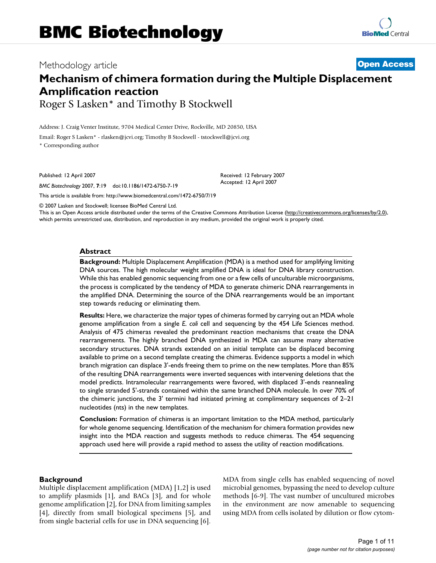# **Mechanism of chimera formation during the Multiple Displacement Amplification reaction**

Roger S Lasken\* and Timothy B Stockwell

Address: J. Craig Venter Institute, 9704 Medical Center Drive, Rockville, MD 20850, USA

Email: Roger S Lasken\* - rlasken@jcvi.org; Timothy B Stockwell - tstockwell@jcvi.org

\* Corresponding author

Published: 12 April 2007

*BMC Biotechnology* 2007, **7**:19 doi:10.1186/1472-6750-7-19

[This article is available from: http://www.biomedcentral.com/1472-6750/7/19](http://www.biomedcentral.com/1472-6750/7/19)

© 2007 Lasken and Stockwell; licensee BioMed Central Ltd.

This is an Open Access article distributed under the terms of the Creative Commons Attribution License [\(http://creativecommons.org/licenses/by/2.0\)](http://creativecommons.org/licenses/by/2.0), which permits unrestricted use, distribution, and reproduction in any medium, provided the original work is properly cited.

Received: 12 February 2007 Accepted: 12 April 2007

#### **Abstract**

**Background:** Multiple Displacement Amplification (MDA) is a method used for amplifying limiting DNA sources. The high molecular weight amplified DNA is ideal for DNA library construction. While this has enabled genomic sequencing from one or a few cells of unculturable microorganisms, the process is complicated by the tendency of MDA to generate chimeric DNA rearrangements in the amplified DNA. Determining the source of the DNA rearrangements would be an important step towards reducing or eliminating them.

**Results:** Here, we characterize the major types of chimeras formed by carrying out an MDA whole genome amplification from a single *E. coli* cell and sequencing by the 454 Life Sciences method. Analysis of 475 chimeras revealed the predominant reaction mechanisms that create the DNA rearrangements. The highly branched DNA synthesized in MDA can assume many alternative secondary structures. DNA strands extended on an initial template can be displaced becoming available to prime on a second template creating the chimeras. Evidence supports a model in which branch migration can displace 3'-ends freeing them to prime on the new templates. More than 85% of the resulting DNA rearrangements were inverted sequences with intervening deletions that the model predicts. Intramolecular rearrangements were favored, with displaced 3'-ends reannealing to single stranded 5'-strands contained within the same branched DNA molecule. In over 70% of the chimeric junctions, the 3' termini had initiated priming at complimentary sequences of 2–21 nucleotides (nts) in the new templates.

**Conclusion:** Formation of chimeras is an important limitation to the MDA method, particularly for whole genome sequencing. Identification of the mechanism for chimera formation provides new insight into the MDA reaction and suggests methods to reduce chimeras. The 454 sequencing approach used here will provide a rapid method to assess the utility of reaction modifications.

## **Background**

Multiple displacement amplification (MDA) [1,2] is used to amplify plasmids [1], and BACs [3], and for whole genome amplification [2], for DNA from limiting samples [4], directly from small biological specimens [5], and from single bacterial cells for use in DNA sequencing [6].

MDA from single cells has enabled sequencing of novel microbial genomes, bypassing the need to develop culture methods [6-9]. The vast number of uncultured microbes in the environment are now amenable to sequencing using MDA from cells isolated by dilution or flow cytom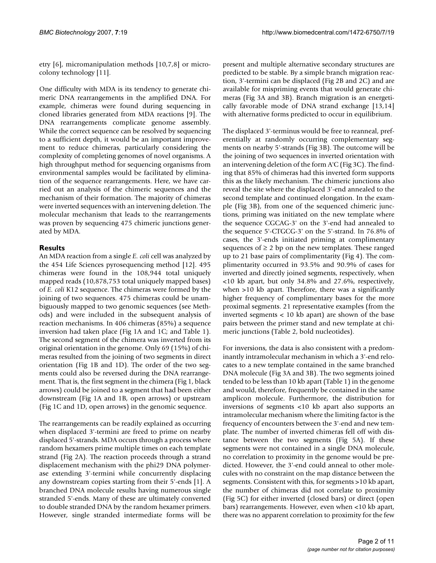etry [6], micromanipulation methods [10,7,8] or microcolony technology [11].

One difficulty with MDA is its tendency to generate chimeric DNA rearrangements in the amplified DNA. For example, chimeras were found during sequencing in cloned libraries generated from MDA reactions [9]. The DNA rearrangements complicate genome assembly. While the correct sequence can be resolved by sequencing to a sufficient depth, it would be an important improvement to reduce chimeras, particularly considering the complexity of completing genomes of novel organisms. A high throughput method for sequencing organisms from environmental samples would be facilitated by elimination of the sequence rearrangements. Here, we have carried out an analysis of the chimeric sequences and the mechanism of their formation. The majority of chimeras were inverted sequences with an intervening deletion. The molecular mechanism that leads to the rearrangements was proven by sequencing 475 chimeric junctions generated by MDA.

## **Results**

An MDA reaction from a single *E. coli* cell was analyzed by the 454 Life Sciences pyrosequencing method [12]. 495 chimeras were found in the 108,944 total uniquely mapped reads (10,878,753 total uniquely mapped bases) of *E. coli* K12 sequence. The chimeras were formed by the joining of two sequences. 475 chimeras could be unambiguously mapped to two genomic sequences (see Methods) and were included in the subsequent analysis of reaction mechanisms. In 406 chimeras (85%) a sequence inversion had taken place (Fig 1A and 1C; and Table 1). The second segment of the chimera was inverted from its original orientation in the genome. Only 69 (15%) of chimeras resulted from the joining of two segments in direct orientation (Fig 1B and 1D). The order of the two segments could also be reversed during the DNA rearrangement. That is, the first segment in the chimera (Fig 1, black arrows) could be joined to a segment that had been either downstream (Fig 1A and 1B, open arrows) or upstream (Fig 1C and 1D, open arrows) in the genomic sequence.

The rearrangements can be readily explained as occurring when displaced 3'-termini are freed to prime on nearby displaced 5'-strands. MDA occurs through a process where random hexamers prime multiple times on each template strand (Fig 2A). The reaction proceeds through a strand displacement mechanism with the phi29 DNA polymerase extending 3'-termini while concurrently displacing any downstream copies starting from their 5'-ends [1]. A branched DNA molecule results having numerous single stranded 5'-ends. Many of these are ultimately converted to double stranded DNA by the random hexamer primers. However, single stranded intermediate forms will be present and multiple alternative secondary structures are predicted to be stable. By a simple branch migration reaction, 3'-termini can be displaced (Fig 2B and 2C) and are available for mispriming events that would generate chimeras (Fig 3A and 3B). Branch migration is an energetically favorable mode of DNA strand exchange [13,14] with alternative forms predicted to occur in equilibrium.

The displaced 3'-terminus would be free to reanneal, preferentially at randomly occurring complementary segments on nearby 5'-strands (Fig 3B). The outcome will be the joining of two sequences in inverted orientation with an intervening deletion of the form A'C (Fig 3C). The finding that 85% of chimeras had this inverted form supports this as the likely mechanism. The chimeric junctions also reveal the site where the displaced 3'-end annealed to the second template and continued elongation. In the example (Fig 3B), from one of the sequenced chimeric junctions, priming was initiated on the new template where the sequence CGCAG-3' on the 3'-end had annealed to the sequence 5'-CTGCG-3' on the 5'-strand. In 76.8% of cases, the 3'-ends initiated priming at complimentary sequences of  $\geq 2$  bp on the new templates. These ranged up to 21 base pairs of complimentarity (Fig 4). The complimentarity occurred in 93.5% and 90.9% of cases for inverted and directly joined segments, respectively, when <10 kb apart, but only 34.8% and 27.6%, respectively, when >10 kb apart. Therefore, there was a significantly higher frequency of complimentary bases for the more proximal segments. 21 representative examples (from the inverted segments < 10 kb apart) are shown of the base pairs between the primer stand and new template at chimeric junctions (Table 2, bold nucleotides).

For inversions, the data is also consistent with a predominantly intramolecular mechanism in which a 3'-end relocates to a new template contained in the same branched DNA molecule (Fig 3A and 3B). The two segments joined tended to be less than 10 kb apart (Table 1) in the genome and would, therefore, frequently be contained in the same amplicon molecule. Furthermore, the distribution for inversions of segments <10 kb apart also supports an intramolecular mechanism where the limiting factor is the frequency of encounters between the 3'-end and new template. The number of inverted chimeras fell off with distance between the two segments (Fig 5A). If these segments were not contained in a single DNA molecule, no correlation to proximity in the genome would be predicted. However, the 3'-end could anneal to other molecules with no constraint on the map distance between the segments. Consistent with this, for segments >10 kb apart, the number of chimeras did not correlate to proximity (Fig 5C) for either inverted (closed bars) or direct (open bars) rearrangements. However, even when <10 kb apart, there was no apparent correlation to proximity for the few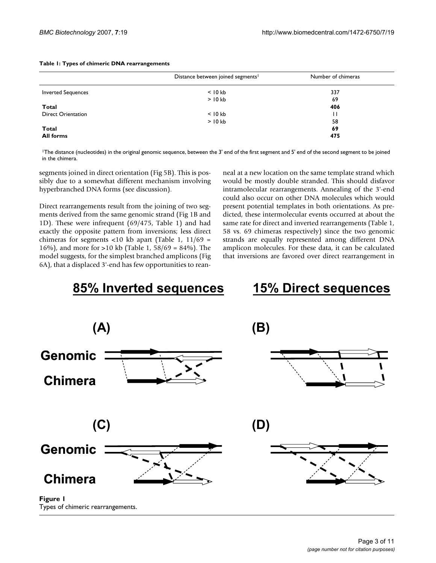#### **Table 1: Types of chimeric DNA rearrangements**

|                           | Distance between joined segments <sup>1</sup> | Number of chimeras |  |
|---------------------------|-----------------------------------------------|--------------------|--|
| <b>Inverted Sequences</b> | $< 10$ kb                                     | 337                |  |
|                           | $>$ 10 kb                                     | 69                 |  |
| Total                     |                                               | 406                |  |
| <b>Direct Orientation</b> | $<$ 10 kb                                     | П                  |  |
|                           | $>$ 10 kb                                     | 58                 |  |
| Total                     |                                               | 69                 |  |
| <b>All forms</b>          |                                               | 475                |  |
|                           |                                               |                    |  |

1The distance (nucleotides) in the original genomic sequence, between the 3' end of the first segment and 5' end of the second segment to be joined in the chimera.

segments joined in direct orientation (Fig 5B). This is possibly due to a somewhat different mechanism involving hyperbranched DNA forms (see discussion).

Direct rearrangements result from the joining of two segments derived from the same genomic strand (Fig 1B and 1D). These were infrequent (69/475, Table 1) and had exactly the opposite pattern from inversions; less direct chimeras for segments <10 kb apart (Table 1,  $11/69$  = 16%), and more for >10 kb (Table 1, 58/69 = 84%). The model suggests, for the simplest branched amplicons (Fig 6A), that a displaced 3'-end has few opportunities to reanneal at a new location on the same template strand which would be mostly double stranded. This should disfavor intramolecular rearrangements. Annealing of the 3'-end could also occur on other DNA molecules which would present potential templates in both orientations. As predicted, these intermolecular events occurred at about the same rate for direct and inverted rearrangements (Table 1, 58 vs. 69 chimeras respectively) since the two genomic strands are equally represented among different DNA amplicon molecules. For these data, it can be calculated that inversions are favored over direct rearrangement in

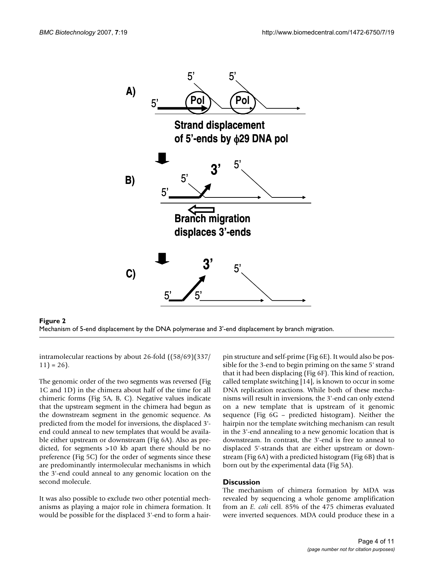



intramolecular reactions by about 26-fold ((58/69)(337/  $11$ ) = 26).

The genomic order of the two segments was reversed (Fig 1C and 1D) in the chimera about half of the time for all chimeric forms (Fig 5A, B, C). Negative values indicate that the upstream segment in the chimera had begun as the downstream segment in the genomic sequence. As predicted from the model for inversions, the displaced 3' end could anneal to new templates that would be available either upstream or downstream (Fig 6A). Also as predicted, for segments >10 kb apart there should be no preference (Fig 5C) for the order of segments since these are predominantly intermolecular mechanisms in which the 3'-end could anneal to any genomic location on the second molecule.

It was also possible to exclude two other potential mechanisms as playing a major role in chimera formation. It would be possible for the displaced 3'-end to form a hairpin structure and self-prime (Fig 6E). It would also be possible for the 3-end to begin priming on the same 5' strand that it had been displacing (Fig 6F). This kind of reaction, called template switching [14], is known to occur in some DNA replication reactions. While both of these mechanisms will result in inversions, the 3'-end can only extend on a new template that is upstream of it genomic sequence (Fig 6G – predicted histogram). Neither the hairpin nor the template switching mechanism can result in the 3'-end annealing to a new genomic location that is downstream. In contrast, the 3'-end is free to anneal to displaced 5'-strands that are either upstream or downstream (Fig 6A) with a predicted histogram (Fig 6B) that is born out by the experimental data (Fig 5A).

## **Discussion**

The mechanism of chimera formation by MDA was revealed by sequencing a whole genome amplification from an *E. coli* cell. 85% of the 475 chimeras evaluated were inverted sequences. MDA could produce these in a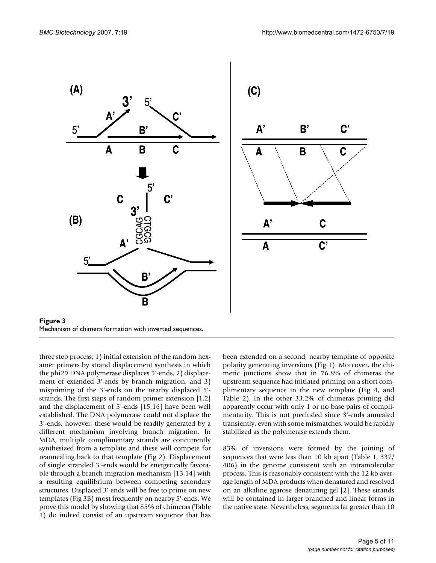

Mechanism of chimera formation with inverted sequences.

three step process; 1) initial extension of the random hexamer primers by strand displacement synthesis in which the phi29 DNA polymerase displaces 5'-ends, 2) displacement of extended 3'-ends by branch migration, and 3) mispriming of the 3'-ends on the nearby displaced 5' strands. The first steps of random primer extension [1,2] and the displacement of 5'-ends [15,16] have been well established. The DNA polymerase could not displace the 3'-ends, however, these would be readily generated by a different mechanism involving branch migration. In MDA, multiple complimentary strands are concurrently synthesized from a template and these will compete for reannealing back to that template (Fig 2). Displacement of single stranded 3'-ends would be energetically favorable through a branch migration mechanism [13,14] with a resulting equilibrium between competing secondary structures. Displaced 3'-ends will be free to prime on new templates (Fig 3B) most frequently on nearby 5'-ends. We prove this model by showing that 85% of chimeras (Table 1) do indeed consist of an upstream sequence that has

been extended on a second, nearby template of opposite polarity generating inversions (Fig 1). Moreover, the chimeric junctions show that in 76.8% of chimeras the upstream sequence had initiated priming on a short complimentary sequence in the new template (Fig 4, and Table 2). In the other 33.2% of chimeras priming did apparently occur with only 1 or no base pairs of complimentarity. This is not precluded since 3'-ends annealed transiently, even with some mismatches, would be rapidly stabilized as the polymerase extends them.

83% of inversions were formed by the joining of sequences that were less than 10 kb apart (Table 1, 337/ 406) in the genome consistent with an intramolecular process. This is reasonably consistent with the 12 kb average length of MDA products when denatured and resolved on an alkaline agarose denaturing gel [2]. These strands will be contained in larger branched and linear forms in the native state. Nevertheless, segments far greater than 10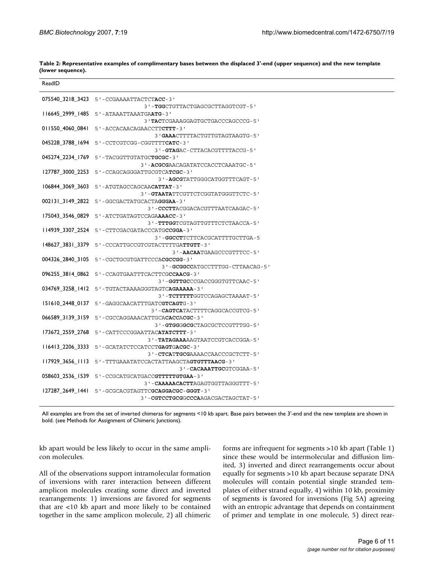| ReadID |                                                           |
|--------|-----------------------------------------------------------|
|        | 075540 3218 3423 5'-CCGAAAATTACTCTACC-3'                  |
|        | 3 ' - TGGCTGTTACTGAGCGCTTAGGTCGT - 5 '                    |
|        | 116645 2999 1485 5'-ATAAATTAAATGAATG-3'                   |
|        | 3 'TACTCGAAAGGAGTGCTGACCCAGCCCG-5'                        |
|        | 011550_4060_0841 5'-ACCACAACAGAACCTTCTTT-3'               |
|        | 3 ' GAAACTTTTACTGTTGTAGTAAGTG-5'                          |
|        |                                                           |
|        | 3 ' - GTAGAC - CTTACACGTTTTACCG - 5 '                     |
|        | 045274_2234_1769    5'-TACGGTTGTATGCTGCGC-3'              |
|        | 3'-ACGCGAACAGATATCCACCTCAAATGC-5'                         |
|        | 127787_3000_2253 5'-CCAGCAGGGATTGCGTCATCGC-3'             |
|        | 3'-AGCGTATTGGGCATGGTTTCAGT-5'                             |
|        | 106844 3069 3603 5'-ATGTAGCCAGCAACATTAT-3'                |
|        | 3'-GTAATATTCGTTCTCGGTATGGGTTCTC-5'                        |
|        | 002131 3149 2822 5'-GGCGACTATGCACTAGGGAA-3'               |
|        | 3'-CCCTTACGGACACGTTTAATCAAGAC-5'                          |
|        | 175043 3546 0829 5'-ATCTGATAGTCCAGAAAACC-3'               |
|        | 3 ' - TTTGGTCGTAGTTGTTTCTCTAACCA-5'                       |
|        | 114939 3307 2524 5'-CTTCGACGATACCCATGCCGGA-3'             |
|        | 3'-GGCCTTCTTCACGCATTTTGCTTGA-5                            |
|        | 148627_3831_3379 5'-CCCATTGCCGTCGTACTTTTGATTGTT-3'        |
|        | 3'-AACAATGAAGCCCGTTTCC-5'                                 |
|        | 004326_2840_3105    5'-CGCTGCGTGATTCCCACGCCGG-3'          |
|        | 3'-GCGGCCATGCCTTTGG-CTTAACAG-5'                           |
|        | 096255_3814_0862 5'-CCAGTGAATTTCACTTCGCCAACG-3'           |
|        | 3'-GGTTGCCCGACCGGGTGTTCAAC-5'                             |
|        | 034769_3258_1412    5'-TGTACTAAAAGGGTAGTCAGAAAAA-3'       |
|        | 3'-TCTTTTTGGTCCAGAGCTAAAAT-5'                             |
|        | I51610_2448_0137 5'-GAGGCAACATTTGATCGTCAGTG-3'            |
|        | 3'-CAGTCATACTTTTCAGGCACCGTCG-5'                           |
|        | 066589_3139_3159 5'-CGCCAGGAAACATTGCACACCACGC-3'          |
|        | 3'-GTGGGGCGCTAGCGCTCCGTTTGG-5'                            |
|        | 173672 2559 2768 5'-CATTCCCGGAATTACATATCTTT-3'            |
|        | 3 ' - TATAGAAAAAGTAATCCGTCACCGGA-5'                       |
|        | 116413 2206 3333 5'-GCATATCTCCATCCTGAGTGACGC-3'           |
|        | 3'-CTCATTGCGAAAACCAACCCGCTCTT-5'                          |
|        | 117929 3656 1113 5'-TTTGAAATATCCACTATTAAGCTAGTGTTTAACG-3' |
|        | 3'-CACAAATTGCGTCGGAA-5'                                   |
|        |                                                           |
|        | 3 ' - CAAAAACACTTAGAGTGGTTAGGGTTT-5'                      |
|        | 127287 2649 1441 5'-GCGCACGTAGTTCGCAGGACGC-GGGT-3'        |
|        | 3 ' - CGTCCTGCGGCCCAAGACGACTAGCTAT-5 '                    |

**Table 2: Representative examples of complimentary bases between the displaced 3'-end (upper sequence) and the new template (lower sequence).** 

All examples are from the set of inverted chimeras for segments <10 kb apart. Base pairs between the 3'-end and the new template are shown in bold. (see Methods for Assignment of Chimeric Junctions).

kb apart would be less likely to occur in the same amplicon molecules.

All of the observations support intramolecular formation of inversions with rarer interaction between different amplicon molecules creating some direct and inverted rearrangements: 1) inversions are favored for segments that are <10 kb apart and more likely to be contained together in the same amplicon molecule, 2) all chimeric forms are infrequent for segments >10 kb apart (Table 1) since these would be intermolecular and diffusion limited, 3) inverted and direct rearrangements occur about equally for segments >10 kb apart because separate DNA molecules will contain potential single stranded templates of either strand equally, 4) within 10 kb, proximity of segments is favored for inversions (Fig 5A) agreeing with an entropic advantage that depends on containment of primer and template in one molecule, 5) direct rear-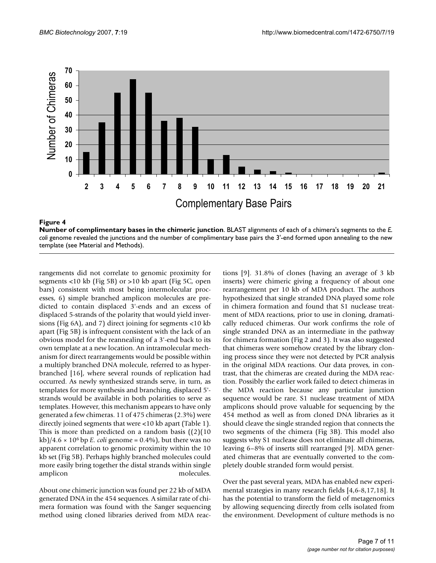

#### **Figure 4**

**Number of complimentary bases in the chimeric junction**. BLAST alignments of each of a chimera's segments to the *E. coli genome revealed the junctions and the number of complimentary base pairs the 3'-end formed upon annealing to the new* template (see Material and Methods).

rangements did not correlate to genomic proximity for segments <10 kb (Fig 5B) or >10 kb apart (Fig 5C, open bars) consistent with most being intermolecular processes, 6) simple branched amplicon molecules are predicted to contain displaced 3'-ends and an excess of displaced 5-strands of the polarity that would yield inversions (Fig 6A), and 7) direct joining for segments <10 kb apart (Fig 5B) is infrequent consistent with the lack of an obvious model for the reannealing of a 3'-end back to its own template at a new location. An intramolecular mechanism for direct rearrangements would be possible within a multiply branched DNA molecule, referred to as hyperbranched [16], where several rounds of replication had occurred. As newly synthesized strands serve, in turn, as templates for more synthesis and branching, displaced 5' strands would be available in both polarities to serve as templates. However, this mechanism appears to have only generated a few chimeras. 11 of 475 chimeras (2.3%) were directly joined segments that were <10 kb apart (Table 1). This is more than predicted on a random basis  $(2)(10)$ kb $/4.6 \times 10^6$  bp *E. coli* genome = 0.4%), but there was no apparent correlation to genomic proximity within the 10 kb set (Fig 5B). Perhaps highly branched molecules could more easily bring together the distal strands within single amplicon molecules.

About one chimeric junction was found per 22 kb of MDA generated DNA in the 454 sequences. A similar rate of chimera formation was found with the Sanger sequencing method using cloned libraries derived from MDA reactions [9]. 31.8% of clones (having an average of 3 kb inserts) were chimeric giving a frequency of about one rearrangement per 10 kb of MDA product. The authors hypothesized that single stranded DNA played some role in chimera formation and found that S1 nuclease treatment of MDA reactions, prior to use in cloning, dramatically reduced chimeras. Our work confirms the role of single stranded DNA as an intermediate in the pathway for chimera formation (Fig 2 and 3). It was also suggested that chimeras were somehow created by the library cloning process since they were not detected by PCR analysis in the original MDA reactions. Our data proves, in contrast, that the chimeras are created during the MDA reaction. Possibly the earlier work failed to detect chimeras in the MDA reaction because any particular junction sequence would be rare. S1 nuclease treatment of MDA amplicons should prove valuable for sequencing by the 454 method as well as from cloned DNA libraries as it should cleave the single stranded region that connects the two segments of the chimera (Fig 3B). This model also suggests why S1 nuclease does not eliminate all chimeras, leaving 6–8% of inserts still rearranged [9]. MDA generated chimeras that are eventually converted to the completely double stranded form would persist.

Over the past several years, MDA has enabled new experimental strategies in many research fields [4,6-8,17,18]. It has the potential to transform the field of metagenomics by allowing sequencing directly from cells isolated from the environment. Development of culture methods is no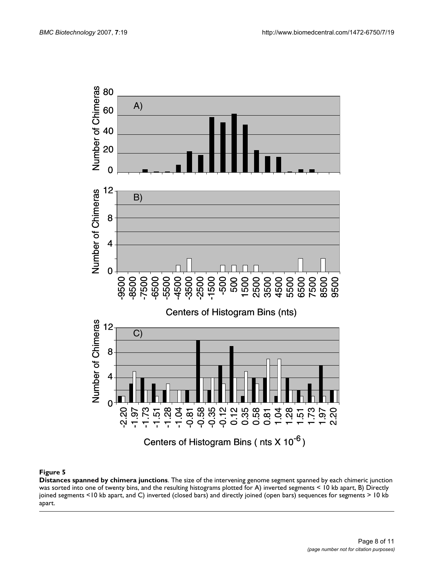

#### **Figure 5**

**Distances spanned by chimera junctions**. The size of the intervening genome segment spanned by each chimeric junction was sorted into one of twenty bins, and the resulting histograms plotted for A) inverted segments < 10 kb apart, B) Directly joined segments <10 kb apart, and C) inverted (closed bars) and directly joined (open bars) sequences for segments > 10 kb apart.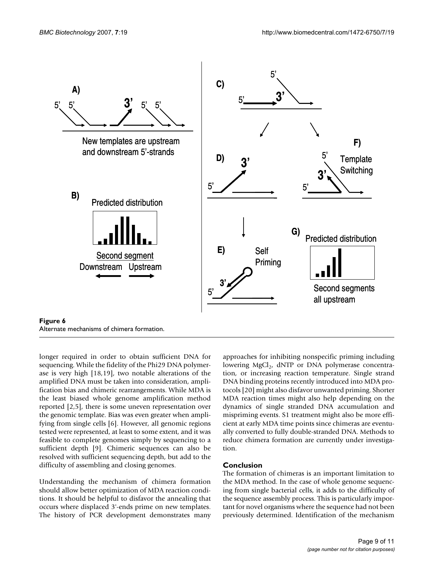

longer required in order to obtain sufficient DNA for sequencing. While the fidelity of the Phi29 DNA polymerase is very high [18,19], two notable alterations of the amplified DNA must be taken into consideration, amplification bias and chimeric rearrangements. While MDA is the least biased whole genome amplification method reported [2,5], there is some uneven representation over the genomic template. Bias was even greater when amplifying from single cells [6]. However, all genomic regions tested were represented, at least to some extent, and it was feasible to complete genomes simply by sequencing to a sufficient depth [9]. Chimeric sequences can also be resolved with sufficient sequencing depth, but add to the difficulty of assembling and closing genomes.

Understanding the mechanism of chimera formation should allow better optimization of MDA reaction conditions. It should be helpful to disfavor the annealing that occurs where displaced 3'-ends prime on new templates. The history of PCR development demonstrates many approaches for inhibiting nonspecific priming including lowering  $MgCl<sub>2</sub>$ , dNTP or DNA polymerase concentration, or increasing reaction temperature. Single strand DNA binding proteins recently introduced into MDA protocols [20] might also disfavor unwanted priming. Shorter MDA reaction times might also help depending on the dynamics of single stranded DNA accumulation and mispriming events. S1 treatment might also be more efficient at early MDA time points since chimeras are eventually converted to fully double-stranded DNA. Methods to reduce chimera formation are currently under investigation.

## **Conclusion**

The formation of chimeras is an important limitation to the MDA method. In the case of whole genome sequencing from single bacterial cells, it adds to the difficulty of the sequence assembly process. This is particularly important for novel organisms where the sequence had not been previously determined. Identification of the mechanism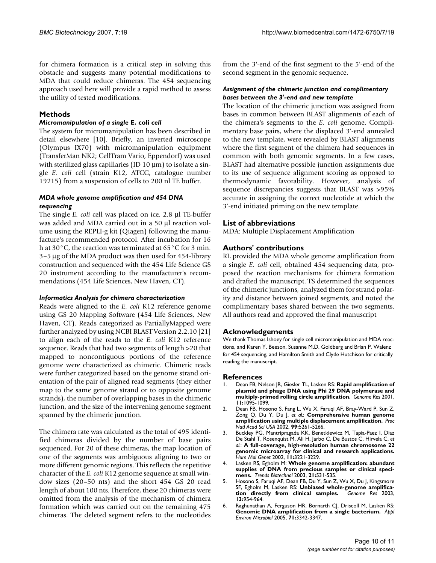for chimera formation is a critical step in solving this obstacle and suggests many potential modifications to MDA that could reduce chimeras. The 454 sequencing approach used here will provide a rapid method to assess the utility of tested modifications.

## **Methods**

#### *Micromanipulation of a single* **E. coli** *cell*

The system for micromanipulation has been described in detail elsewhere [10]. Briefly, an inverted microscope (Olympus IX70) with micromanipulation equipment (TransferMan NK2; CellTram Vario, Eppendorf) was used with sterilized glass capillaries (ID  $10 \mu m$ ) to isolate a single *E. coli* cell (strain K12, ATCC, catalogue number 19215) from a suspension of cells to 200 nl TE buffer.

#### *MDA whole genome amplification and 454 DNA sequencing*

The single *E. coli* cell was placed on ice. 2.8 μl TE-buffer was added and MDA carried out in a 50 μl reaction volume using the REPLI-g kit (Qiagen) following the manufacture's recommended protocol. After incubation for 16 h at 30°C, the reaction was terminated at 65°C for 3 min. 3–5 μg of the MDA product was then used for 454-library construction and sequenced with the 454 Life Science GS 20 instrument according to the manufacturer's recommendations (454 Life Sciences, New Haven, CT).

#### *Informatics Analysis for chimera characterization*

Reads were aligned to the *E. coli* K12 reference genome using GS 20 Mapping Software (454 Life Sciences, New Haven, CT). Reads categorized as PartiallyMapped were further analyzed by using NCBI BLAST Version 2.2.10 [21] to align each of the reads to the *E. coli* K12 reference sequence. Reads that had two segments of length >20 that mapped to noncontiguous portions of the reference genome were characterized as chimeric. Chimeric reads were further categorized based on the genome strand orientation of the pair of aligned read segments (they either map to the same genome strand or to opposite genome strands), the number of overlapping bases in the chimeric junction, and the size of the intervening genome segment spanned by the chimeric junction.

The chimera rate was calculated as the total of 495 identified chimeras divided by the number of base pairs sequenced. For 20 of these chimeras, the map location of one of the segments was ambiguous aligning to two or more different genomic regions. This reflects the repetitive character of the *E. coli* K12 genome sequence at small window sizes (20–50 nts) and the short 454 GS 20 read length of about 100 nts. Therefore, these 20 chimeras were omitted from the analysis of the mechanism of chimera formation which was carried out on the remaining 475 chimeras. The deleted segment refers to the nucleotides from the 3'-end of the first segment to the 5'-end of the second segment in the genomic sequence.

#### *Assignment of the chimeric junction and complimentary bases between the 3'-end and new template*

The location of the chimeric junction was assigned from bases in common between BLAST alignments of each of the chimera's segments to the *E. coli* genome. Complimentary base pairs, where the displaced 3'-end annealed to the new template, were revealed by BLAST alignments where the first segment of the chimera had sequences in common with both genomic segments. In a few cases, BLAST had alternative possible junction assignments due to its use of sequence alignment scoring as opposed to thermodynamic favorability. However, analysis of sequence discrepancies suggests that BLAST was >95% accurate in assigning the correct nucleotide at which the 3'-end initiated priming on the new template.

## **List of abbreviations**

MDA: Multiple Displacement Amplification

## **Authors' contributions**

RL provided the MDA whole genome amplification from a single *E. coli* cell, obtained 454 sequencing data, proposed the reaction mechanisms for chimera formation and drafted the manuscript. TS determined the sequences of the chimeric junctions, analyzed them for strand polarity and distance between joined segments, and noted the complimentary bases shared between the two segments. All authors read and approved the final manuscript

## **Acknowledgements**

We thank Thomas Ishoey for single cell micromanipulation and MDA reactions, and Karen Y. Beeson, Susanne M.D. Goldberg and Brian P. Walenz for 454 sequencing, and Hamilton Smith and Clyde Hutchison for critically reading the manuscript.

## **References**

- 1. Dean FB, Nelson JR, Giesler TL, Lasken RS: **[Rapid amplification of](http://www.ncbi.nlm.nih.gov/entrez/query.fcgi?cmd=Retrieve&db=PubMed&dopt=Abstract&list_uids=11381035) [plasmid and phage DNA using Phi 29 DNA polymerase and](http://www.ncbi.nlm.nih.gov/entrez/query.fcgi?cmd=Retrieve&db=PubMed&dopt=Abstract&list_uids=11381035) [multiply-primed rolling circle amplification.](http://www.ncbi.nlm.nih.gov/entrez/query.fcgi?cmd=Retrieve&db=PubMed&dopt=Abstract&list_uids=11381035)** *Genome Res* 2001, **11:**1095-1099.
- 2. Dean FB, Hosono S, Fang L, Wu X, Faruqi AF, Bray-Ward P, Sun Z, Zong Q, Du Y, Du J, *et al.*: **[Comprehensive human genome](http://www.ncbi.nlm.nih.gov/entrez/query.fcgi?cmd=Retrieve&db=PubMed&dopt=Abstract&list_uids=11959976) [amplification using multiple displacement amplification.](http://www.ncbi.nlm.nih.gov/entrez/query.fcgi?cmd=Retrieve&db=PubMed&dopt=Abstract&list_uids=11959976)** *Proc Natl Acad Sci USA* 2002, **99:**5261-5266.
- 3. Buckley PG, Mantripragada KK, Benetkiewicz M, Tapia-Paez I, Diaz De Stahl T, Rosenquist M, Ali H, Jarbo C, De Bustos C, Hirvela C, *et al.*: **[A full-coverage, high-resolution human chromosome 22](http://www.ncbi.nlm.nih.gov/entrez/query.fcgi?cmd=Retrieve&db=PubMed&dopt=Abstract&list_uids=12444106) [genomic microarray for clinical and research applications.](http://www.ncbi.nlm.nih.gov/entrez/query.fcgi?cmd=Retrieve&db=PubMed&dopt=Abstract&list_uids=12444106)** *Hum Mol Genet* 2002, **11:**3221-3229.
- 4. Lasken RS, Egholm M: **[Whole genome amplification: abundant](http://www.ncbi.nlm.nih.gov/entrez/query.fcgi?cmd=Retrieve&db=PubMed&dopt=Abstract&list_uids=14624861) [supplies of DNA from precious samples or clinical speci](http://www.ncbi.nlm.nih.gov/entrez/query.fcgi?cmd=Retrieve&db=PubMed&dopt=Abstract&list_uids=14624861)[mens.](http://www.ncbi.nlm.nih.gov/entrez/query.fcgi?cmd=Retrieve&db=PubMed&dopt=Abstract&list_uids=14624861)** *Trends Biotechnol* 2003, **21:**531-535.
- 5. Hosono S, Faruqi AF, Dean FB, Du Y, Sun Z, Wu X, Du J, Kingsmore SF, Egholm M, Lasken RS: **[Unbiased whole-genome amplifica](http://www.ncbi.nlm.nih.gov/entrez/query.fcgi?cmd=Retrieve&db=PubMed&dopt=Abstract&list_uids=12695328)** $tion$  directly from clinical samples. **13:**954-964.
- 6. Raghunathan A, Ferguson HR, Bornarth CJ, Driscoll M, Lasken RS: **[Genomic DNA amplification from a single bacterium.](http://www.ncbi.nlm.nih.gov/entrez/query.fcgi?cmd=Retrieve&db=PubMed&dopt=Abstract&list_uids=15933038)** *Appl Environ Microbiol* 2005, **71:**3342-3347.